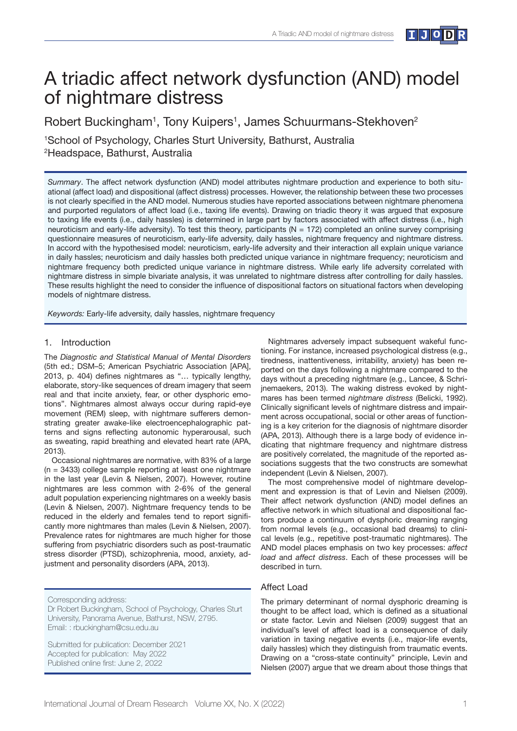

# A triadic affect network dysfunction (AND) model of nightmare distress

Robert Buckingham<sup>1</sup>, Tony Kuipers<sup>1</sup>, James Schuurmans-Stekhoven<sup>2</sup>

1 School of Psychology, Charles Sturt University, Bathurst, Australia 2 Headspace, Bathurst, Australia

*Summary*. The affect network dysfunction (AND) model attributes nightmare production and experience to both situational (affect load) and dispositional (affect distress) processes. However, the relationship between these two processes is not clearly specified in the AND model. Numerous studies have reported associations between nightmare phenomena and purported regulators of affect load (i.e., taxing life events). Drawing on triadic theory it was argued that exposure to taxing life events (i.e., daily hassles) is determined in large part by factors associated with affect distress (i.e., high neuroticism and early-life adversity). To test this theory, participants ( $N = 172$ ) completed an online survey comprising questionnaire measures of neuroticism, early-life adversity, daily hassles, nightmare frequency and nightmare distress. In accord with the hypothesised model: neuroticism, early-life adversity and their interaction all explain unique variance in daily hassles; neuroticism and daily hassles both predicted unique variance in nightmare frequency; neuroticism and nightmare frequency both predicted unique variance in nightmare distress. While early life adversity correlated with nightmare distress in simple bivariate analysis, it was unrelated to nightmare distress after controlling for daily hassles. These results highlight the need to consider the influence of dispositional factors on situational factors when developing models of nightmare distress.

*Keywords:* Early-life adversity, daily hassles, nightmare frequency

#### 1. Introduction

The *Diagnostic and Statistical Manual of Mental Disorders* (5th ed.; DSM–5; American Psychiatric Association [APA], 2013, p. 404) defines nightmares as "... typically lengthy, elaborate, story-like sequences of dream imagery that seem real and that incite anxiety, fear, or other dysphoric emotions". Nightmares almost always occur during rapid-eye movement (REM) sleep, with nightmare sufferers demonstrating greater awake-like electroencephalographic patterns and signs reflecting autonomic hyperarousal, such as sweating, rapid breathing and elevated heart rate (APA, 2013).

Occasional nightmares are normative, with 83% of a large (n = 3433) college sample reporting at least one nightmare in the last year (Levin & Nielsen, 2007). However, routine nightmares are less common with 2-6% of the general adult population experiencing nightmares on a weekly basis (Levin & Nielsen, 2007). Nightmare frequency tends to be reduced in the elderly and females tend to report significantly more nightmares than males (Levin & Nielsen, 2007). Prevalence rates for nightmares are much higher for those suffering from psychiatric disorders such as post-traumatic stress disorder (PTSD), schizophrenia, mood, anxiety, adjustment and personality disorders (APA, 2013).

Corresponding address:

Dr Robert Buckingham, School of Psychology, Charles Sturt University, Panorama Avenue, Bathurst, NSW, 2795. Email: : rbuckingham@csu.edu.au

Submitted for publication: December 2021 Accepted for publication: May 2022 Published online first: June 2, 2022

Nightmares adversely impact subsequent wakeful functioning. For instance, increased psychological distress (e.g., tiredness, inattentiveness, irritability, anxiety) has been reported on the days following a nightmare compared to the days without a preceding nightmare (e.g., Lancee, & Schrijnemaekers, 2013). The waking distress evoked by nightmares has been termed *nightmare distress* (Belicki, 1992). Clinically significant levels of nightmare distress and impairment across occupational, social or other areas of functioning is a key criterion for the diagnosis of nightmare disorder (APA, 2013). Although there is a large body of evidence indicating that nightmare frequency and nightmare distress are positively correlated, the magnitude of the reported associations suggests that the two constructs are somewhat independent (Levin & Nielsen, 2007).

The most comprehensive model of nightmare development and expression is that of Levin and Nielsen (2009). Their affect network dysfunction (AND) model defines an affective network in which situational and dispositional factors produce a continuum of dysphoric dreaming ranging from normal levels (e.g., occasional bad dreams) to clinical levels (e.g., repetitive post-traumatic nightmares). The AND model places emphasis on two key processes: *affect load* and *affect distress*. Each of these processes will be described in turn.

## Affect Load

The primary determinant of normal dysphoric dreaming is thought to be affect load, which is defined as a situational or state factor. Levin and Nielsen (2009) suggest that an individual's level of affect load is a consequence of daily variation in taxing negative events (i.e., major-life events, daily hassles) which they distinguish from traumatic events. Drawing on a "cross-state continuity" principle, Levin and Nielsen (2007) argue that we dream about those things that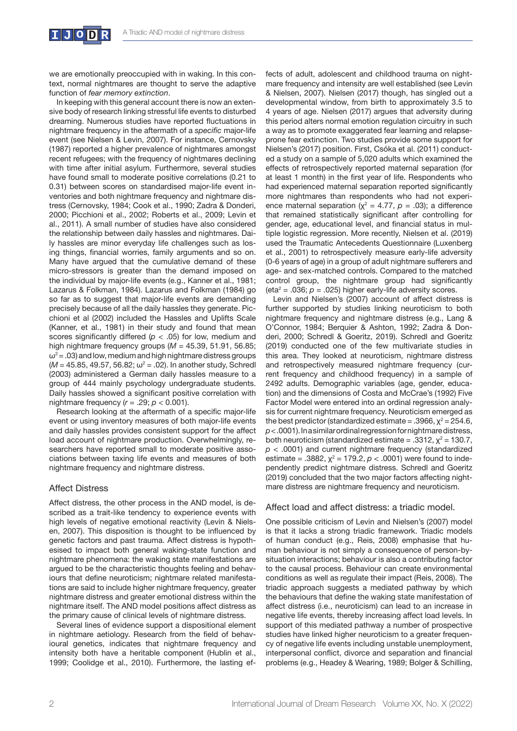we are emotionally preoccupied with in waking. In this context, normal nightmares are thought to serve the adaptive function of *fear memory extinction*.

In keeping with this general account there is now an extensive body of research linking stressful life events to disturbed dreaming. Numerous studies have reported fluctuations in nightmare frequency in the aftermath of a *specific* major-life event (see Nielsen & Levin, 2007). For instance, Cernovsky (1987) reported a higher prevalence of nightmares amongst recent refugees; with the frequency of nightmares declining with time after initial asylum. Furthermore, several studies have found small to moderate positive correlations (0.21 to 0.31) between scores on standardised major-life event inventories and both nightmare frequency and nightmare distress (Cernovsky, 1984; Cook et al., 1990; Zadra & Donderi, 2000; Picchioni et al., 2002; Roberts et al., 2009; Levin et al., 2011). A small number of studies have also considered the relationship between daily hassles and nightmares. Daily hassles are minor everyday life challenges such as losing things, financial worries, family arguments and so on. Many have argued that the cumulative demand of these micro-stressors is greater than the demand imposed on the individual by major-life events (e.g., Kanner et al., 1981; Lazarus & Folkman, 1984). Lazarus and Folkman (1984) go so far as to suggest that major-life events are demanding precisely because of all the daily hassles they generate. Picchioni et al (2002) included the Hassles and Uplifts Scale (Kanner, et al., 1981) in their study and found that mean scores significantly differed  $(p < .05)$  for low, medium and high nightmare frequency groups (*M* = 45.39, 51.91, 56.85;  $\omega^2$  = .03) and low, medium and high nightmare distress groups  $(M = 45.85, 49.57, 56.82; \omega^2 = .02)$ . In another study, Schredl (2003) administered a German daily hassles measure to a group of 444 mainly psychology undergraduate students. Daily hassles showed a significant positive correlation with nightmare frequency  $(r = .29; p < 0.001)$ .

Research looking at the aftermath of a specific major-life event or using inventory measures of both major-life events and daily hassles provides consistent support for the affect load account of nightmare production. Overwhelmingly, researchers have reported small to moderate positive associations between taxing life events and measures of both nightmare frequency and nightmare distress.

# Affect Distress

Affect distress, the other process in the AND model, is described as a trait-like tendency to experience events with high levels of negative emotional reactivity (Levin & Nielsen, 2007). This disposition is thought to be influenced by genetic factors and past trauma. Affect distress is hypothesised to impact both general waking-state function and nightmare phenomena: the waking state manifestations are argued to be the characteristic thoughts feeling and behaviours that define neuroticism; nightmare related manifestations are said to include higher nightmare frequency, greater nightmare distress and greater emotional distress within the nightmare itself. The AND model positions affect distress as the primary cause of clinical levels of nightmare distress.

Several lines of evidence support a dispositional element in nightmare aetiology. Research from the field of behavioural genetics, indicates that nightmare frequency and intensity both have a heritable component (Hublin et al., 1999; Coolidge et al., 2010). Furthermore, the lasting effects of adult, adolescent and childhood trauma on nightmare frequency and intensity are well established (see Levin & Nielsen, 2007). Nielsen (2017) though, has singled out a developmental window, from birth to approximately 3.5 to 4 years of age. Nielsen (2017) argues that adversity during this period alters normal emotion regulation circuitry in such a way as to promote exaggerated fear learning and relapseprone fear extinction. Two studies provide some support for Nielsen's (2017) position. First, Csóka et al. (2011) conducted a study on a sample of 5,020 adults which examined the effects of retrospectively reported maternal separation (for at least 1 month) in the first year of life. Respondents who had experienced maternal separation reported significantly more nightmares than respondents who had not experience maternal separation ( $\chi^2$  = 4.77,  $\rho$  = .03); a difference that remained statistically significant after controlling for gender, age, educational level, and financial status in multiple logistic regression. More recently, Nielsen et al. (2019) used the Traumatic Antecedents Questionnaire (Luxenberg et al., 2001) to retrospectively measure early-life adversity (0-6 years of age) in a group of adult nightmare sufferers and age- and sex-matched controls. Compared to the matched control group, the nightmare group had significantly  $eta^2$  = .036;  $p$  = .025) higher early-life adversity scores.

Levin and Nielsen's (2007) account of affect distress is further supported by studies linking neuroticism to both nightmare frequency and nightmare distress (e.g., Lang & O'Connor, 1984; Berquier & Ashton, 1992; Zadra & Donderi, 2000; Schredl & Goeritz, 2019). Schredl and Goeritz (2019) conducted one of the few multivariate studies in this area. They looked at neuroticism, nightmare distress and retrospectively measured nightmare frequency (current frequency and childhood frequency) in a sample of 2492 adults. Demographic variables (age, gender, education) and the dimensions of Costa and McCrae's (1992) Five Factor Model were entered into an ordinal regression analysis for current nightmare frequency. Neuroticism emerged as the best predictor (standardized estimate = .3966,  $\chi^2$  = 254.6, *p* < .0001). In a similar ordinal regression for nightmare distress, both neuroticism (standardized estimate = .3312,  $\chi^2$  = 130.7, *p* < .0001) and current nightmare frequency (standardized estimate = .3882,  $\chi^2$  = 179.2,  $p < .0001$ ) were found to independently predict nightmare distress. Schredl and Goeritz (2019) concluded that the two major factors affecting nightmare distress are nightmare frequency and neuroticism.

# Affect load and affect distress: a triadic model.

One possible criticism of Levin and Nielsen's (2007) model is that it lacks a strong triadic framework. Triadic models of human conduct (e.g., Reis, 2008) emphasise that human behaviour is not simply a consequence of person-bysituation interactions; behaviour is also a contributing factor to the causal process. Behaviour can create environmental conditions as well as regulate their impact (Reis, 2008). The triadic approach suggests a mediated pathway by which the behaviours that define the waking state manifestation of affect distress (i.e., neuroticism) can lead to an increase in negative life events, thereby increasing affect load levels. In support of this mediated pathway a number of prospective studies have linked higher neuroticism to a greater frequency of negative life events including unstable unemployment, interpersonal conflict, divorce and separation and financial problems (e.g., Headey & Wearing, 1989; Bolger & Schilling,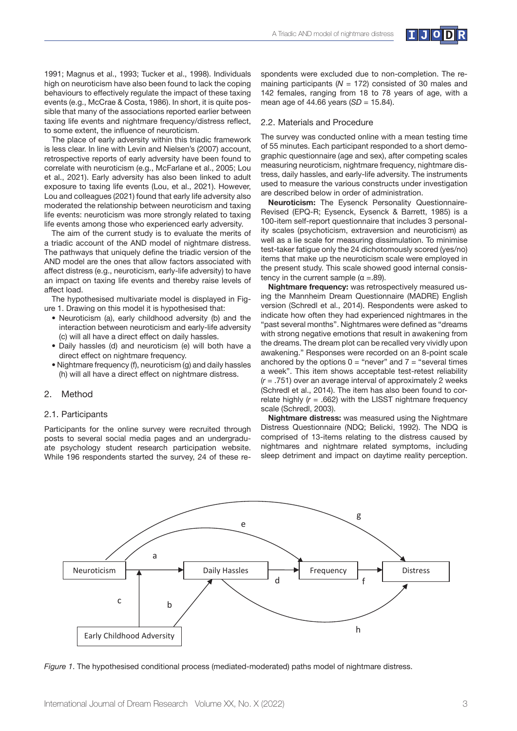

1991; Magnus et al., 1993; Tucker et al., 1998). Individuals high on neuroticism have also been found to lack the coping behaviours to effectively regulate the impact of these taxing events (e.g., McCrae & Costa, 1986). In short, it is quite possible that many of the associations reported earlier between taxing life events and nightmare frequency/distress reflect, to some extent, the influence of neuroticism.

The place of early adversity within this triadic framework is less clear. In line with Levin and Nielsen's (2007) account, retrospective reports of early adversity have been found to correlate with neuroticism (e.g., McFarlane et al., 2005; Lou et al., 2021). Early adversity has also been linked to adult exposure to taxing life events (Lou, et al., 2021). However, Lou and colleagues (2021) found that early life adversity also moderated the relationship between neuroticism and taxing life events: neuroticism was more strongly related to taxing life events among those who experienced early adversity.

The aim of the current study is to evaluate the merits of a triadic account of the AND model of nightmare distress. The pathways that uniquely define the triadic version of the AND model are the ones that allow factors associated with affect distress (e.g., neuroticism, early-life adversity) to have an impact on taxing life events and thereby raise levels of affect load.

The hypothesised multivariate model is displayed in Figure 1. Drawing on this model it is hypothesised that:

- Neuroticism (a), early childhood adversity (b) and the interaction between neuroticism and early-life adversity (c) will all have a direct effect on daily hassles.
- Daily hassles (d) and neuroticism (e) will both have a direct effect on nightmare frequency.
- Nightmare frequency (f), neuroticism (g) and daily hassles (h) will all have a direct effect on nightmare distress.

# 2. Method

### 2.1. Participants

Participants for the online survey were recruited through posts to several social media pages and an undergraduate psychology student research participation website. While 196 respondents started the survey, 24 of these respondents were excluded due to non-completion. The remaining participants (*N* = 172) consisted of 30 males and 142 females, ranging from 18 to 78 years of age, with a mean age of 44.66 years (*SD* = 15.84).

#### 2.2. Materials and Procedure

The survey was conducted online with a mean testing time of 55 minutes. Each participant responded to a short demographic questionnaire (age and sex), after competing scales measuring neuroticism, nightmare frequency, nightmare distress, daily hassles, and early-life adversity. The instruments used to measure the various constructs under investigation are described below in order of administration.

**Neuroticism:** The Eysenck Personality Questionnaire-Revised (EPQ-R; Eysenck, Eysenck & Barrett, 1985) is a 100-item self-report questionnaire that includes 3 personality scales (psychoticism, extraversion and neuroticism) as well as a lie scale for measuring dissimulation. To minimise test-taker fatigue only the 24 dichotomously scored (yes/no) items that make up the neuroticism scale were employed in the present study. This scale showed good internal consistency in the current sample  $(α = .89)$ .

**Nightmare frequency:** was retrospectively measured using the Mannheim Dream Questionnaire (MADRE) English version (Schredl et al., 2014). Respondents were asked to indicate how often they had experienced nightmares in the "past several months". Nightmares were defined as "dreams with strong negative emotions that result in awakening from the dreams. The dream plot can be recalled very vividly upon awakening." Responses were recorded on an 8-point scale anchored by the options  $0 =$  "never" and  $7 =$  "several times a week". This item shows acceptable test-retest reliability (*r* = .751) over an average interval of approximately 2 weeks (Schredl et al., 2014). The item has also been found to correlate highly  $(r = .662)$  with the LISST nightmare frequency scale (Schredl, 2003).

**Nightmare distress:** was measured using the Nightmare Distress Questionnaire (NDQ; Belicki, 1992). The NDQ is comprised of 13-items relating to the distress caused by nightmares and nightmare related symptoms, including sleep detriment and impact on daytime reality perception.



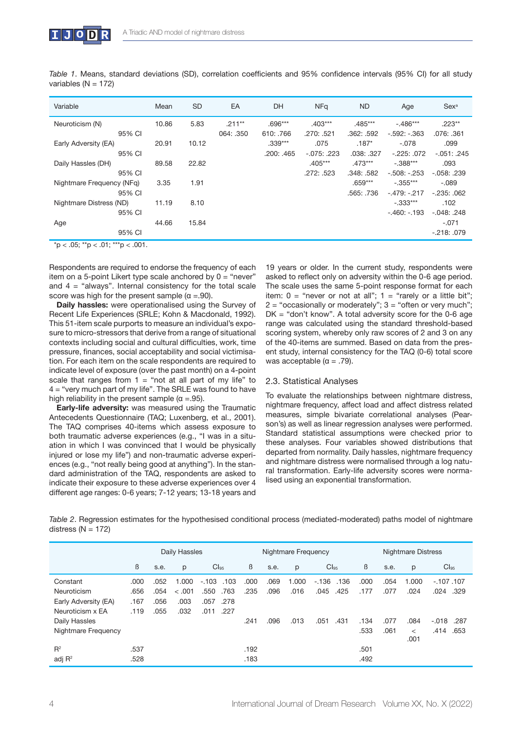| Table 1. Means, standard deviations (SD), correlation coefficients and 95% confidence intervals (95% CI) for all study |  |  |  |  |  |  |  |
|------------------------------------------------------------------------------------------------------------------------|--|--|--|--|--|--|--|
| variables ( $N = 172$ )                                                                                                |  |  |  |  |  |  |  |

| Variable                  | Mean  | <b>SD</b> | EA        | DH         | <b>NFa</b>      | <b>ND</b>  | Age           | Sex <sup>a</sup> |
|---------------------------|-------|-----------|-----------|------------|-----------------|------------|---------------|------------------|
| Neuroticism (N)           | 10.86 | 5.83      | $.211**$  | $.696***$  | $.403***$       | $.485***$  | $-.486***$    | $.223**$         |
| 95% CI                    |       |           | 064: .350 | 610: .766  | .270: .521      | .362: .592 | $-.592:-.363$ | .076: .361       |
| Early Adversity (EA)      | 20.91 | 10.12     |           | $.339***$  | .075            | $.187*$    | $-.078$       | .099             |
| 95% CI                    |       |           |           | .200: .465 | $-0.075$ : .223 | .038: .327 | $-225:072$    | $-.051: .245$    |
| Daily Hassles (DH)        | 89.58 | 22.82     |           |            | $.405***$       | $.473***$  | $-.388***$    | .093             |
| 95% CI                    |       |           |           |            | .272: .523      | .348: .582 | $-.508:-.253$ | $-0.058$ : .239  |
| Nightmare Frequency (NFg) | 3.35  | 1.91      |           |            |                 | $.659***$  | $-.355***$    | $-.089$          |
| 95% CI                    |       |           |           |            |                 | .565: .736 | $-479: -217$  | $-235:062$       |
| Nightmare Distress (ND)   | 11.19 | 8.10      |           |            |                 |            | $-.333***$    | .102             |
| 95% CI                    |       |           |           |            |                 |            | $-.460:-.193$ | $-.048: .248$    |
| Age                       | 44.66 | 15.84     |           |            |                 |            |               | $-.071$          |
| 95% CI                    |       |           |           |            |                 |            |               | $-218:079$       |

 $*p < .05; **p < .01; **p < .001.$ 

Respondents are required to endorse the frequency of each item on a 5-point Likert type scale anchored by  $0 =$  "never" and  $4 =$  "always". Internal consistency for the total scale score was high for the present sample  $(\alpha = .90)$ .

**Daily hassles:** were operationalised using the Survey of Recent Life Experiences (SRLE; Kohn & Macdonald, 1992). This 51-item scale purports to measure an individual's exposure to micro-stressors that derive from a range of situational contexts including social and cultural difficulties, work, time pressure, finances, social acceptability and social victimisation. For each item on the scale respondents are required to indicate level of exposure (over the past month) on a 4-point scale that ranges from  $1 =$  "not at all part of my life" to 4 = "very much part of my life". The SRLE was found to have high reliability in the present sample  $(\alpha = .95)$ .

**Early-life adversity:** was measured using the Traumatic Antecedents Questionnaire (TAQ; Luxenberg, et al., 2001). The TAQ comprises 40-items which assess exposure to both traumatic adverse experiences (e.g., "I was in a situation in which I was convinced that I would be physically injured or lose my life") and non-traumatic adverse experiences (e.g., "not really being good at anything"). In the standard administration of the TAQ, respondents are asked to indicate their exposure to these adverse experiences over 4 different age ranges: 0-6 years; 7-12 years; 13-18 years and

19 years or older. In the current study, respondents were asked to reflect only on adversity within the 0-6 age period. The scale uses the same 5-point response format for each item:  $0 =$  "never or not at all";  $1 =$  "rarely or a little bit";  $2 =$  "occasionally or moderately";  $3 =$  "often or very much"; DK = "don't know". A total adversity score for the 0-6 age range was calculated using the standard threshold-based scoring system, whereby only raw scores of 2 and 3 on any of the 40-items are summed. Based on data from the present study, internal consistency for the TAQ (0-6) total score was acceptable ( $\alpha$  = .79).

## 2.3. Statistical Analyses

To evaluate the relationships between nightmare distress, nightmare frequency, affect load and affect distress related measures, simple bivariate correlational analyses (Pearson's) as well as linear regression analyses were performed. Standard statistical assumptions were checked prior to these analyses. Four variables showed distributions that departed from normality. Daily hassles, nightmare frequency and nightmare distress were normalised through a log natural transformation. Early-life adversity scores were normalised using an exponential transformation.

*Table 2*. Regression estimates for the hypothesised conditional process (mediated-moderated) paths model of nightmare distress  $(N = 172)$ 

|                      | <b>Daily Hassles</b> |      |         |                  |      |      | Nightmare Frequency |                  | Nightmare Distress |      |         |                  |  |
|----------------------|----------------------|------|---------|------------------|------|------|---------------------|------------------|--------------------|------|---------|------------------|--|
|                      | ß                    | s.e. | p       | Cl <sub>95</sub> | ß    | s.e. | p                   | Cl <sub>95</sub> | ß                  | s.e. | p       | Cl <sub>95</sub> |  |
| Constant             | .000                 | .052 | 1.000   | $-.103$<br>.103  | .000 | .069 | 1.000               | $-.136$<br>.136  | .000               | .054 | 1.000   | $-107.107$       |  |
| Neuroticism          | .656                 | .054 | $-.001$ | .763<br>.550     | .235 | .096 | .016                | .045<br>.425     | .177               | .077 | .024    | .024 .329        |  |
| Early Adversity (EA) | .167                 | .056 | .003    | .278<br>.057     |      |      |                     |                  |                    |      |         |                  |  |
| Neuroticism x EA     | .119                 | .055 | .032    | .227<br>.011     |      |      |                     |                  |                    |      |         |                  |  |
| Daily Hassles        |                      |      |         |                  | .241 | .096 | .013                | .431<br>.051     | .134               | .077 | .084    | $-.018$<br>.287  |  |
| Nightmare Frequency  |                      |      |         |                  |      |      |                     |                  | .533               | .061 | $\,<\,$ | .414<br>.653     |  |
|                      |                      |      |         |                  |      |      |                     |                  |                    |      | .001    |                  |  |
| $R^2$                | .537                 |      |         |                  | .192 |      |                     |                  | .501               |      |         |                  |  |
| adj $R^2$            | .528                 |      |         |                  | .183 |      |                     |                  | .492               |      |         |                  |  |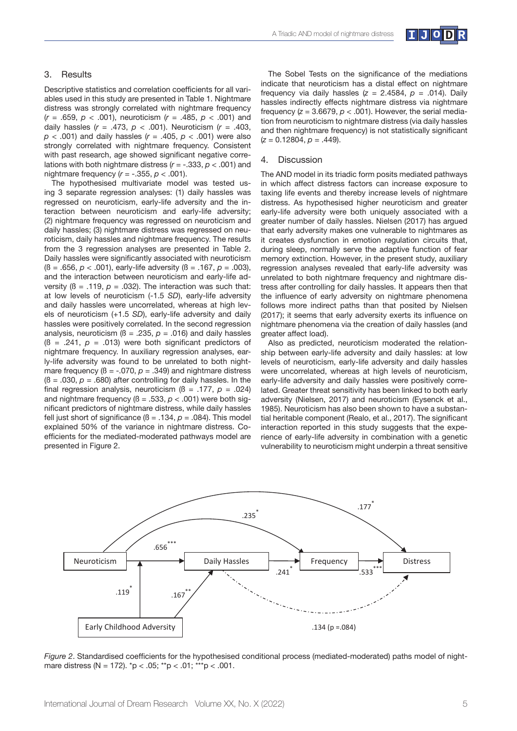

#### 3. Results

Descriptive statistics and correlation coefficients for all variables used in this study are presented in Table 1. Nightmare distress was strongly correlated with nightmare frequency (*r* = .659, *p* < .001), neuroticism (*r* = .485, *p* < .001) and daily hassles (*r* = .473, *p* < .001). Neuroticism (*r* = .403, *p* < .001) and daily hassles (*r* = .405, *p* < .001) were also strongly correlated with nightmare frequency. Consistent with past research, age showed significant negative correlations with both nightmare distress (*r* = -.333, *p* < .001) and nightmare frequency (*r* = -.355, *p* < .001).

The hypothesised multivariate model was tested using 3 separate regression analyses: (1) daily hassles was regressed on neuroticism, early-life adversity and the interaction between neuroticism and early-life adversity; (2) nightmare frequency was regressed on neuroticism and daily hassles; (3) nightmare distress was regressed on neuroticism, daily hassles and nightmare frequency. The results from the 3 regression analyses are presented in Table 2. Daily hassles were significantly associated with neuroticism (ß = .656, *p* < .001), early-life adversity (ß = .167, *p* = .003), and the interaction between neuroticism and early-life adversity  $( \beta = .119, p = .032)$ . The interaction was such that: at low levels of neuroticism (-1.5 *SD*), early-life adversity and daily hassles were uncorrelated, whereas at high levels of neuroticism (+1.5 *SD*), early-life adversity and daily hassles were positively correlated. In the second regression analysis, neuroticism ( $\beta$  = .235,  $p$  = .016) and daily hassles  $(6 = .241, p = .013)$  were both significant predictors of nightmare frequency. In auxiliary regression analyses, early-life adversity was found to be unrelated to both nightmare frequency ( $\beta$  = -.070,  $p$  = .349) and nightmare distress  $(6 = .030, p = .680)$  after controlling for daily hassles. In the final regression analysis, neuroticism  $( \beta = .177, p = .024 )$ and nightmare frequency  $(\beta = .533, p < .001)$  were both significant predictors of nightmare distress, while daily hassles fell just short of significance  $(\beta = .134, p = .084)$ . This model explained 50% of the variance in nightmare distress. Coefficients for the mediated-moderated pathways model are presented in Figure 2.

The Sobel Tests on the significance of the mediations indicate that neuroticism has a distal effect on nightmare frequency via daily hassles  $(z = 2.4584, p = .014)$ . Daily hassles indirectly effects nightmare distress via nightmare frequency  $(z = 3.6679, p < .001)$ . However, the serial mediation from neuroticism to nightmare distress (via daily hassles and then nightmare frequency) is not statistically significant (*z* = 0.12804, *p* = .449).

#### 4. Discussion

The AND model in its triadic form posits mediated pathways in which affect distress factors can increase exposure to taxing life events and thereby increase levels of nightmare distress. As hypothesised higher neuroticism and greater early-life adversity were both uniquely associated with a greater number of daily hassles. Nielsen (2017) has argued that early adversity makes one vulnerable to nightmares as it creates dysfunction in emotion regulation circuits that, during sleep, normally serve the adaptive function of fear memory extinction. However, in the present study, auxiliary regression analyses revealed that early-life adversity was unrelated to both nightmare frequency and nightmare distress after controlling for daily hassles. It appears then that the influence of early adversity on nightmare phenomena follows more indirect paths than that posited by Nielsen (2017); it seems that early adversity exerts its influence on nightmare phenomena via the creation of daily hassles (and greater affect load).

Also as predicted, neuroticism moderated the relationship between early-life adversity and daily hassles: at low levels of neuroticism, early-life adversity and daily hassles were uncorrelated, whereas at high levels of neuroticism, early-life adversity and daily hassles were positively correlated. Greater threat sensitivity has been linked to both early adversity (Nielsen, 2017) and neuroticism (Eysenck et al., 1985). Neuroticism has also been shown to have a substantial heritable component (Realo, et al., 2017). The significant interaction reported in this study suggests that the experience of early-life adversity in combination with a genetic vulnerability to neuroticism might underpin a threat sensitive



*Figure 2.* Standardised coefficients for the hypothesised conditional process (mediated-moderated) paths model of nightmare distress (N = 172).  $p < .05$ ; \*\*p  $< .01$ ; \*\*\*p  $< .001$ .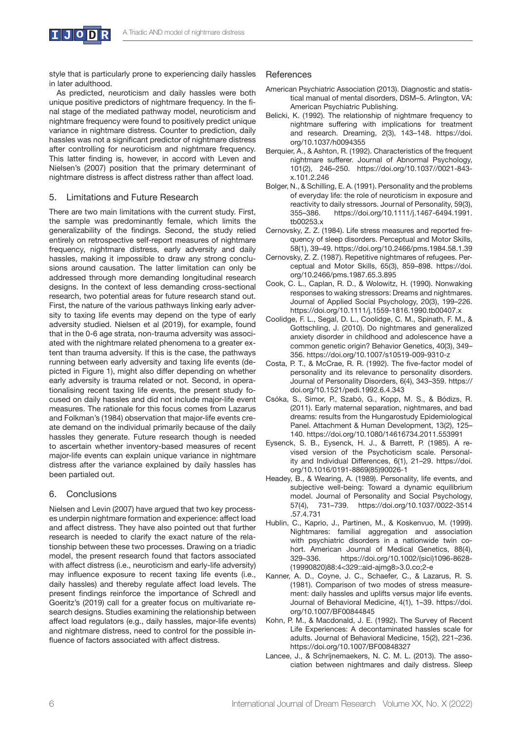

style that is particularly prone to experiencing daily hassles in later adulthood.

As predicted, neuroticism and daily hassles were both unique positive predictors of nightmare frequency. In the final stage of the mediated pathway model, neuroticism and nightmare frequency were found to positively predict unique variance in nightmare distress. Counter to prediction, daily hassles was not a significant predictor of nightmare distress after controlling for neuroticism and nightmare frequency. This latter finding is, however, in accord with Leven and Nielsen's (2007) position that the primary determinant of nightmare distress is affect distress rather than affect load.

## 5. Limitations and Future Research

There are two main limitations with the current study. First, the sample was predominantly female, which limits the generalizability of the findings. Second, the study relied entirely on retrospective self-report measures of nightmare frequency, nightmare distress, early adversity and daily hassles, making it impossible to draw any strong conclusions around causation. The latter limitation can only be addressed through more demanding longitudinal research designs. In the context of less demanding cross-sectional research, two potential areas for future research stand out. First, the nature of the various pathways linking early adversity to taxing life events may depend on the type of early adversity studied. Nielsen et al (2019), for example, found that in the 0-6 age strata, non-trauma adversity was associated with the nightmare related phenomena to a greater extent than trauma adversity. If this is the case, the pathways running between early adversity and taxing life events (depicted in Figure 1), might also differ depending on whether early adversity is trauma related or not. Second, in operationalising recent taxing life events, the present study focused on daily hassles and did not include major-life event measures. The rationale for this focus comes from Lazarus and Folkman's (1984) observation that major-life events create demand on the individual primarily because of the daily hassles they generate. Future research though is needed to ascertain whether inventory-based measures of recent major-life events can explain unique variance in nightmare distress after the variance explained by daily hassles has been partialed out.

# 6. Conclusions

Nielsen and Levin (2007) have argued that two key processes underpin nightmare formation and experience: affect load and affect distress. They have also pointed out that further research is needed to clarify the exact nature of the relationship between these two processes. Drawing on a triadic model, the present research found that factors associated with affect distress (i.e., neuroticism and early-life adversity) may influence exposure to recent taxing life events (i.e., daily hassles) and thereby regulate affect load levels. The present findings reinforce the importance of Schredl and Goeritz's (2019) call for a greater focus on multivariate research designs. Studies examining the relationship between affect load regulators (e.g., daily hassles, major-life events) and nightmare distress, need to control for the possible influence of factors associated with affect distress.

## References

- American Psychiatric Association (2013). Diagnostic and statistical manual of mental disorders, DSM–5. Arlington, VA: American Psychiatric Publishing.
- Belicki, K. (1992). The relationship of nightmare frequency to nightmare suffering with implications for treatment and research. Dreaming, 2(3), 143–148. https://doi. org/10.1037/h0094355
- Berquier, A., & Ashton, R. (1992). Characteristics of the frequent nightmare sufferer. Journal of Abnormal Psychology, 101(2), 246–250. https://doi.org/10.1037//0021-843 x.101.2.246
- Bolger, N., & Schilling, E. A. (1991). Personality and the problems of everyday life: the role of neuroticism in exposure and reactivity to daily stressors. Journal of Personality, 59(3), 355–386. https://doi.org/10.1111/j.1467-6494.1991. tb00253.x
- Cernovsky, Z. Z. (1984). Life stress measures and reported frequency of sleep disorders. Perceptual and Motor Skills, 58(1), 39–49. https://doi.org/10.2466/pms.1984.58.1.39
- Cernovsky, Z. Z. (1987). Repetitive nightmares of refugees. Perceptual and Motor Skills, 65(3), 859–898. https://doi. org/10.2466/pms.1987.65.3.895
- Cook, C. L., Caplan, R. D., & Wolowitz, H. (1990). Nonwaking responses to waking stressors: Dreams and nightmares. Journal of Applied Social Psychology, 20(3), 199–226. https://doi.org/10.1111/j.1559-1816.1990.tb00407.x
- Coolidge, F. L., Segal, D. L., Coolidge, C. M., Spinath, F. M., & Gottschling, J. (2010). Do nightmares and generalized anxiety disorder in childhood and adolescence have a common genetic origin? Behavior Genetics, 40(3), 349– 356. https://doi.org/10.1007/s10519-009-9310-z
- Costa, P. T., & McCrae, R. R. (1992). The five-factor model of personality and its relevance to personality disorders. Journal of Personality Disorders, 6(4), 343–359. https:// doi.org/10.1521/pedi.1992.6.4.343
- Csóka, S., Simor, P., Szabó, G., Kopp, M. S., & Bódizs, R. (2011). Early maternal separation, nightmares, and bad dreams: results from the Hungarostudy Epidemiological Panel. Attachment & Human Development, 13(2), 125– 140. https://doi.org/10.1080/14616734.2011.553991
- Eysenck, S. B., Eysenck, H. J., & Barrett, P. (1985). A revised version of the Psychoticism scale. Personality and Individual Differences, 6(1), 21–29. https://doi. org/10.1016/0191-8869(85)90026-1
- Headey, B., & Wearing, A. (1989). Personality, life events, and subjective well-being: Toward a dynamic equilibrium model. Journal of Personality and Social Psychology, 57(4), 731–739. https://doi.org/10.1037/0022-3514 .57.4.731
- Hublin, C., Kaprio, J., Partinen, M., & Koskenvuo, M. (1999). Nightmares: familial aggregation and association with psychiatric disorders in a nationwide twin cohort. American Journal of Medical Genetics, 88(4), 329–336. https://doi.org/10.1002/(sici)1096-8628- (19990820)88:4<329::aid-ajmg8>3.0.co;2-e
- Kanner, A. D., Coyne, J. C., Schaefer, C., & Lazarus, R. S. (1981). Comparison of two modes of stress measurement: daily hassles and uplifts versus major life events. Journal of Behavioral Medicine, 4(1), 1–39. https://doi. org/10.1007/BF00844845
- Kohn, P. M., & Macdonald, J. E. (1992). The Survey of Recent Life Experiences: A decontaminated hassles scale for adults. Journal of Behavioral Medicine, 15(2), 221–236. https://doi.org/10.1007/BF00848327
- Lancee, J., & Schrijnemaekers, N. C. M. L. (2013). The association between nightmares and daily distress. Sleep